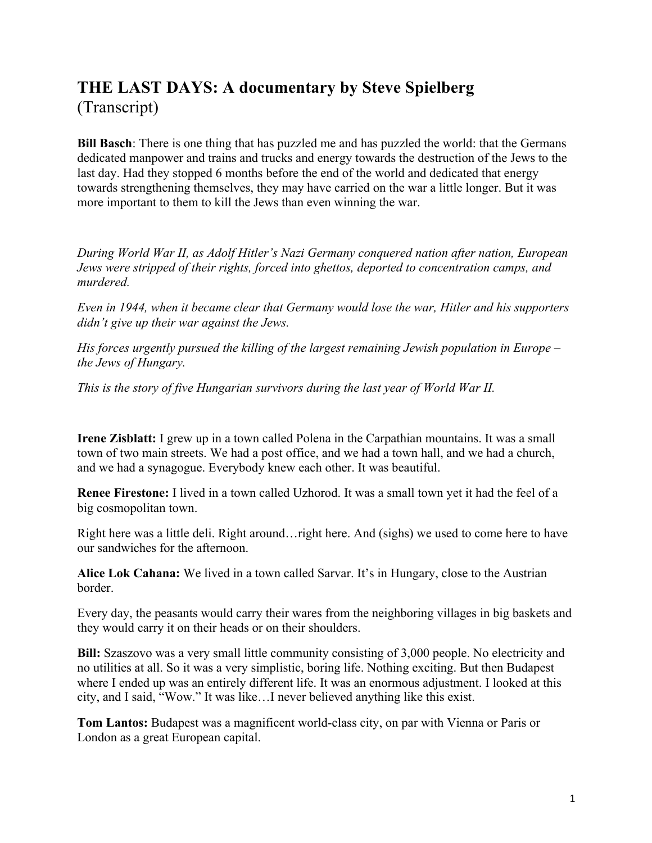# **THE LAST DAYS: A documentary by Steve Spielberg** (Transcript)

**Bill Basch**: There is one thing that has puzzled me and has puzzled the world: that the Germans dedicated manpower and trains and trucks and energy towards the destruction of the Jews to the last day. Had they stopped 6 months before the end of the world and dedicated that energy towards strengthening themselves, they may have carried on the war a little longer. But it was more important to them to kill the Jews than even winning the war.

*During World War II, as Adolf Hitler's Nazi Germany conquered nation after nation, European Jews were stripped of their rights, forced into ghettos, deported to concentration camps, and murdered.*

*Even in 1944, when it became clear that Germany would lose the war, Hitler and his supporters didn't give up their war against the Jews.*

*His forces urgently pursued the killing of the largest remaining Jewish population in Europe – the Jews of Hungary.*

*This is the story of five Hungarian survivors during the last year of World War II.*

**Irene Zisblatt:** I grew up in a town called Polena in the Carpathian mountains. It was a small town of two main streets. We had a post office, and we had a town hall, and we had a church, and we had a synagogue. Everybody knew each other. It was beautiful.

**Renee Firestone:** I lived in a town called Uzhorod. It was a small town yet it had the feel of a big cosmopolitan town.

Right here was a little deli. Right around…right here. And (sighs) we used to come here to have our sandwiches for the afternoon.

**Alice Lok Cahana:** We lived in a town called Sarvar. It's in Hungary, close to the Austrian border.

Every day, the peasants would carry their wares from the neighboring villages in big baskets and they would carry it on their heads or on their shoulders.

**Bill:** Szaszovo was a very small little community consisting of 3,000 people. No electricity and no utilities at all. So it was a very simplistic, boring life. Nothing exciting. But then Budapest where I ended up was an entirely different life. It was an enormous adjustment. I looked at this city, and I said, "Wow." It was like…I never believed anything like this exist.

**Tom Lantos:** Budapest was a magnificent world-class city, on par with Vienna or Paris or London as a great European capital.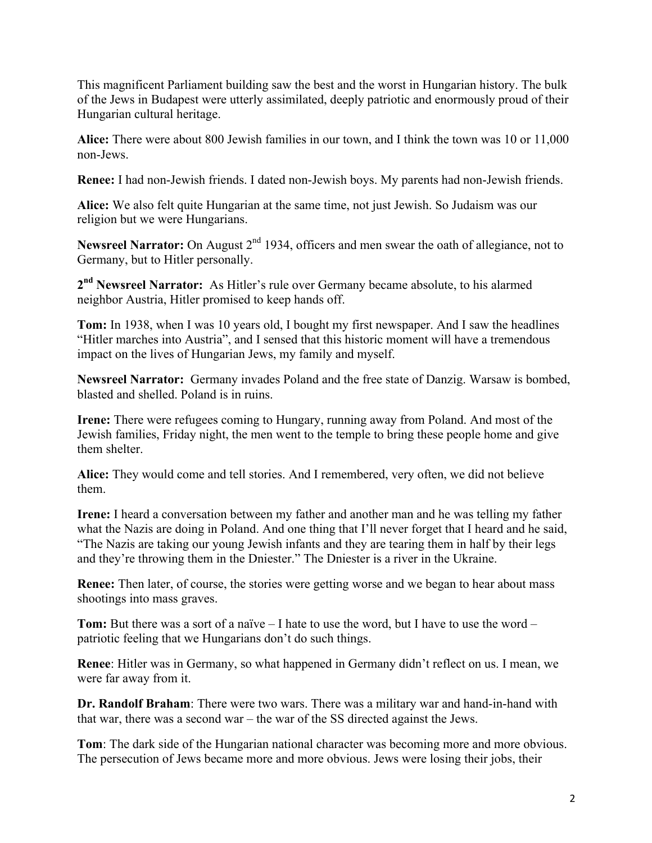This magnificent Parliament building saw the best and the worst in Hungarian history. The bulk of the Jews in Budapest were utterly assimilated, deeply patriotic and enormously proud of their Hungarian cultural heritage.

**Alice:** There were about 800 Jewish families in our town, and I think the town was 10 or 11,000 non-Jews.

**Renee:** I had non-Jewish friends. I dated non-Jewish boys. My parents had non-Jewish friends.

**Alice:** We also felt quite Hungarian at the same time, not just Jewish. So Judaism was our religion but we were Hungarians.

**Newsreel Narrator:** On August 2<sup>nd</sup> 1934, officers and men swear the oath of allegiance, not to Germany, but to Hitler personally.

**2nd Newsreel Narrator:** As Hitler's rule over Germany became absolute, to his alarmed neighbor Austria, Hitler promised to keep hands off.

**Tom:** In 1938, when I was 10 years old, I bought my first newspaper. And I saw the headlines "Hitler marches into Austria", and I sensed that this historic moment will have a tremendous impact on the lives of Hungarian Jews, my family and myself.

**Newsreel Narrator:** Germany invades Poland and the free state of Danzig. Warsaw is bombed, blasted and shelled. Poland is in ruins.

**Irene:** There were refugees coming to Hungary, running away from Poland. And most of the Jewish families, Friday night, the men went to the temple to bring these people home and give them shelter.

**Alice:** They would come and tell stories. And I remembered, very often, we did not believe them.

**Irene:** I heard a conversation between my father and another man and he was telling my father what the Nazis are doing in Poland. And one thing that I'll never forget that I heard and he said, "The Nazis are taking our young Jewish infants and they are tearing them in half by their legs and they're throwing them in the Dniester." The Dniester is a river in the Ukraine.

**Renee:** Then later, of course, the stories were getting worse and we began to hear about mass shootings into mass graves.

**Tom:** But there was a sort of a naïve – I hate to use the word, but I have to use the word – patriotic feeling that we Hungarians don't do such things.

**Renee**: Hitler was in Germany, so what happened in Germany didn't reflect on us. I mean, we were far away from it.

**Dr. Randolf Braham**: There were two wars. There was a military war and hand-in-hand with that war, there was a second war – the war of the SS directed against the Jews.

**Tom**: The dark side of the Hungarian national character was becoming more and more obvious. The persecution of Jews became more and more obvious. Jews were losing their jobs, their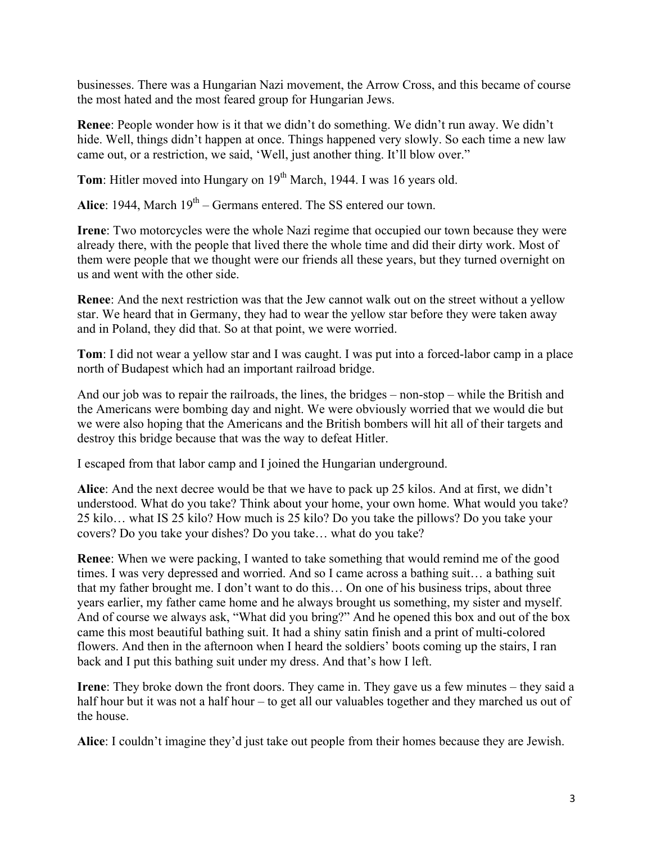businesses. There was a Hungarian Nazi movement, the Arrow Cross, and this became of course the most hated and the most feared group for Hungarian Jews.

**Renee**: People wonder how is it that we didn't do something. We didn't run away. We didn't hide. Well, things didn't happen at once. Things happened very slowly. So each time a new law came out, or a restriction, we said, 'Well, just another thing. It'll blow over."

**Tom**: Hitler moved into Hungary on 19<sup>th</sup> March, 1944. I was 16 years old.

Alice: 1944, March 19<sup>th</sup> – Germans entered. The SS entered our town.

**Irene**: Two motorcycles were the whole Nazi regime that occupied our town because they were already there, with the people that lived there the whole time and did their dirty work. Most of them were people that we thought were our friends all these years, but they turned overnight on us and went with the other side.

**Renee**: And the next restriction was that the Jew cannot walk out on the street without a yellow star. We heard that in Germany, they had to wear the yellow star before they were taken away and in Poland, they did that. So at that point, we were worried.

**Tom**: I did not wear a yellow star and I was caught. I was put into a forced-labor camp in a place north of Budapest which had an important railroad bridge.

And our job was to repair the railroads, the lines, the bridges – non-stop – while the British and the Americans were bombing day and night. We were obviously worried that we would die but we were also hoping that the Americans and the British bombers will hit all of their targets and destroy this bridge because that was the way to defeat Hitler.

I escaped from that labor camp and I joined the Hungarian underground.

**Alice**: And the next decree would be that we have to pack up 25 kilos. And at first, we didn't understood. What do you take? Think about your home, your own home. What would you take? 25 kilo… what IS 25 kilo? How much is 25 kilo? Do you take the pillows? Do you take your covers? Do you take your dishes? Do you take… what do you take?

**Renee**: When we were packing, I wanted to take something that would remind me of the good times. I was very depressed and worried. And so I came across a bathing suit… a bathing suit that my father brought me. I don't want to do this… On one of his business trips, about three years earlier, my father came home and he always brought us something, my sister and myself. And of course we always ask, "What did you bring?" And he opened this box and out of the box came this most beautiful bathing suit. It had a shiny satin finish and a print of multi-colored flowers. And then in the afternoon when I heard the soldiers' boots coming up the stairs, I ran back and I put this bathing suit under my dress. And that's how I left.

**Irene**: They broke down the front doors. They came in. They gave us a few minutes – they said a half hour but it was not a half hour – to get all our valuables together and they marched us out of the house.

**Alice**: I couldn't imagine they'd just take out people from their homes because they are Jewish.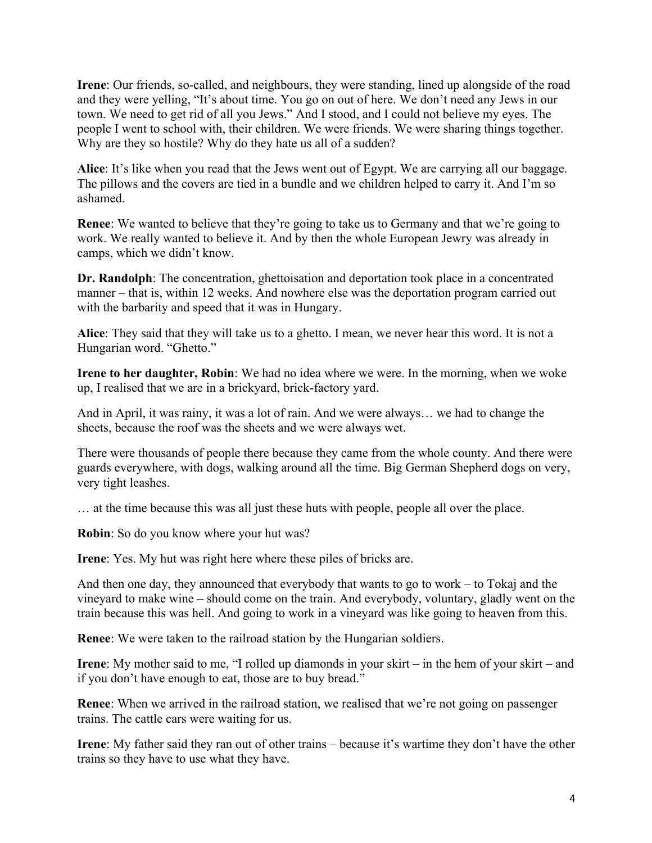**Irene**: Our friends, so-called, and neighbours, they were standing, lined up alongside of the road and they were yelling, "It's about time. You go on out of here. We don't need any Jews in our town. We need to get rid of all you Jews." And I stood, and I could not believe my eyes. The people I went to school with, their children. We were friends. We were sharing things together. Why are they so hostile? Why do they hate us all of a sudden?

**Alice**: It's like when you read that the Jews went out of Egypt. We are carrying all our baggage. The pillows and the covers are tied in a bundle and we children helped to carry it. And I'm so ashamed.

**Renee**: We wanted to believe that they're going to take us to Germany and that we're going to work. We really wanted to believe it. And by then the whole European Jewry was already in camps, which we didn't know.

**Dr. Randolph**: The concentration, ghettoisation and deportation took place in a concentrated manner – that is, within 12 weeks. And nowhere else was the deportation program carried out with the barbarity and speed that it was in Hungary.

**Alice**: They said that they will take us to a ghetto. I mean, we never hear this word. It is not a Hungarian word. "Ghetto."

**Irene to her daughter, Robin**: We had no idea where we were. In the morning, when we woke up, I realised that we are in a brickyard, brick-factory yard.

And in April, it was rainy, it was a lot of rain. And we were always… we had to change the sheets, because the roof was the sheets and we were always wet.

There were thousands of people there because they came from the whole county. And there were guards everywhere, with dogs, walking around all the time. Big German Shepherd dogs on very, very tight leashes.

… at the time because this was all just these huts with people, people all over the place.

**Robin**: So do you know where your hut was?

**Irene**: Yes. My hut was right here where these piles of bricks are.

And then one day, they announced that everybody that wants to go to work – to Tokaj and the vineyard to make wine – should come on the train. And everybody, voluntary, gladly went on the train because this was hell. And going to work in a vineyard was like going to heaven from this.

**Renee**: We were taken to the railroad station by the Hungarian soldiers.

**Irene**: My mother said to me, "I rolled up diamonds in your skirt – in the hem of your skirt – and if you don't have enough to eat, those are to buy bread."

**Renee**: When we arrived in the railroad station, we realised that we're not going on passenger trains. The cattle cars were waiting for us.

**Irene**: My father said they ran out of other trains – because it's wartime they don't have the other trains so they have to use what they have.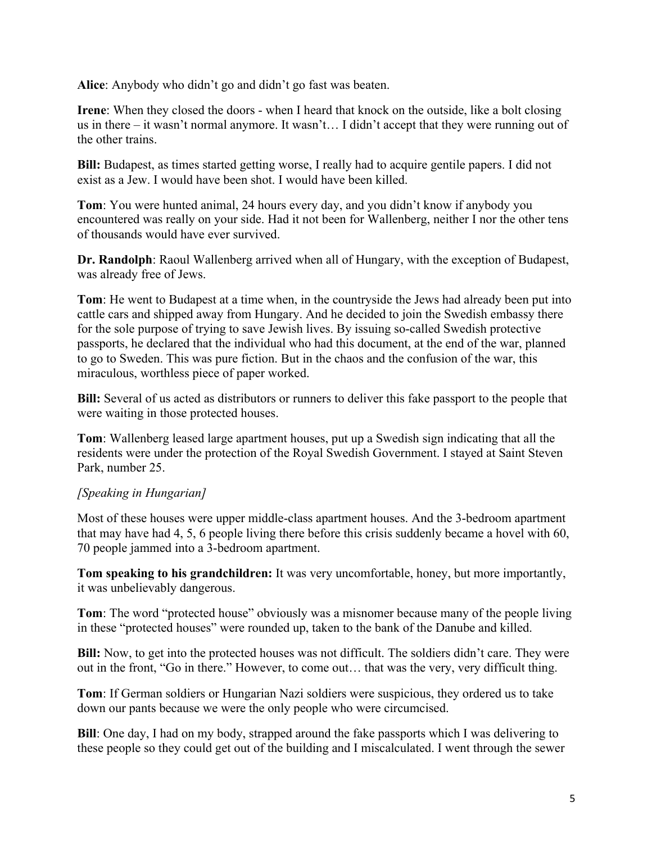**Alice**: Anybody who didn't go and didn't go fast was beaten.

**Irene**: When they closed the doors - when I heard that knock on the outside, like a bolt closing us in there – it wasn't normal anymore. It wasn't… I didn't accept that they were running out of the other trains.

**Bill:** Budapest, as times started getting worse, I really had to acquire gentile papers. I did not exist as a Jew. I would have been shot. I would have been killed.

**Tom**: You were hunted animal, 24 hours every day, and you didn't know if anybody you encountered was really on your side. Had it not been for Wallenberg, neither I nor the other tens of thousands would have ever survived.

**Dr. Randolph**: Raoul Wallenberg arrived when all of Hungary, with the exception of Budapest, was already free of Jews.

**Tom**: He went to Budapest at a time when, in the countryside the Jews had already been put into cattle cars and shipped away from Hungary. And he decided to join the Swedish embassy there for the sole purpose of trying to save Jewish lives. By issuing so-called Swedish protective passports, he declared that the individual who had this document, at the end of the war, planned to go to Sweden. This was pure fiction. But in the chaos and the confusion of the war, this miraculous, worthless piece of paper worked.

**Bill:** Several of us acted as distributors or runners to deliver this fake passport to the people that were waiting in those protected houses.

**Tom**: Wallenberg leased large apartment houses, put up a Swedish sign indicating that all the residents were under the protection of the Royal Swedish Government. I stayed at Saint Steven Park, number 25.

# *[Speaking in Hungarian]*

Most of these houses were upper middle-class apartment houses. And the 3-bedroom apartment that may have had 4, 5, 6 people living there before this crisis suddenly became a hovel with 60, 70 people jammed into a 3-bedroom apartment.

**Tom speaking to his grandchildren:** It was very uncomfortable, honey, but more importantly, it was unbelievably dangerous.

**Tom**: The word "protected house" obviously was a misnomer because many of the people living in these "protected houses" were rounded up, taken to the bank of the Danube and killed.

**Bill:** Now, to get into the protected houses was not difficult. The soldiers didn't care. They were out in the front, "Go in there." However, to come out… that was the very, very difficult thing.

**Tom**: If German soldiers or Hungarian Nazi soldiers were suspicious, they ordered us to take down our pants because we were the only people who were circumcised.

**Bill**: One day, I had on my body, strapped around the fake passports which I was delivering to these people so they could get out of the building and I miscalculated. I went through the sewer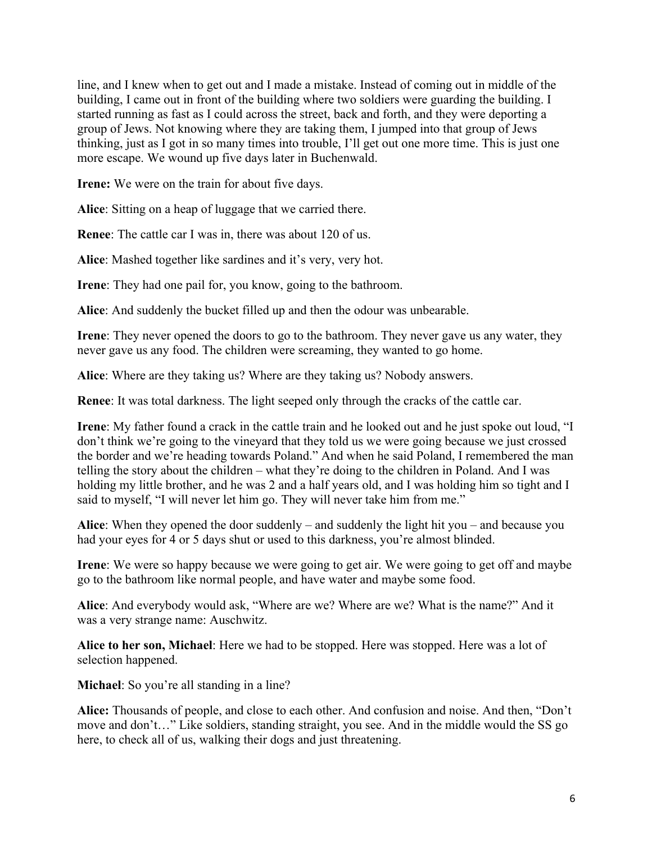line, and I knew when to get out and I made a mistake. Instead of coming out in middle of the building, I came out in front of the building where two soldiers were guarding the building. I started running as fast as I could across the street, back and forth, and they were deporting a group of Jews. Not knowing where they are taking them, I jumped into that group of Jews thinking, just as I got in so many times into trouble, I'll get out one more time. This is just one more escape. We wound up five days later in Buchenwald.

**Irene:** We were on the train for about five days.

**Alice**: Sitting on a heap of luggage that we carried there.

**Renee**: The cattle car I was in, there was about 120 of us.

**Alice**: Mashed together like sardines and it's very, very hot.

**Irene**: They had one pail for, you know, going to the bathroom.

**Alice**: And suddenly the bucket filled up and then the odour was unbearable.

**Irene**: They never opened the doors to go to the bathroom. They never gave us any water, they never gave us any food. The children were screaming, they wanted to go home.

**Alice**: Where are they taking us? Where are they taking us? Nobody answers.

**Renee**: It was total darkness. The light seeped only through the cracks of the cattle car.

**Irene**: My father found a crack in the cattle train and he looked out and he just spoke out loud, "I don't think we're going to the vineyard that they told us we were going because we just crossed the border and we're heading towards Poland." And when he said Poland, I remembered the man telling the story about the children – what they're doing to the children in Poland. And I was holding my little brother, and he was 2 and a half years old, and I was holding him so tight and I said to myself, "I will never let him go. They will never take him from me."

**Alice**: When they opened the door suddenly – and suddenly the light hit you – and because you had your eyes for 4 or 5 days shut or used to this darkness, you're almost blinded.

**Irene**: We were so happy because we were going to get air. We were going to get off and maybe go to the bathroom like normal people, and have water and maybe some food.

**Alice**: And everybody would ask, "Where are we? Where are we? What is the name?" And it was a very strange name: Auschwitz.

**Alice to her son, Michael**: Here we had to be stopped. Here was stopped. Here was a lot of selection happened.

**Michael**: So you're all standing in a line?

**Alice:** Thousands of people, and close to each other. And confusion and noise. And then, "Don't move and don't…" Like soldiers, standing straight, you see. And in the middle would the SS go here, to check all of us, walking their dogs and just threatening.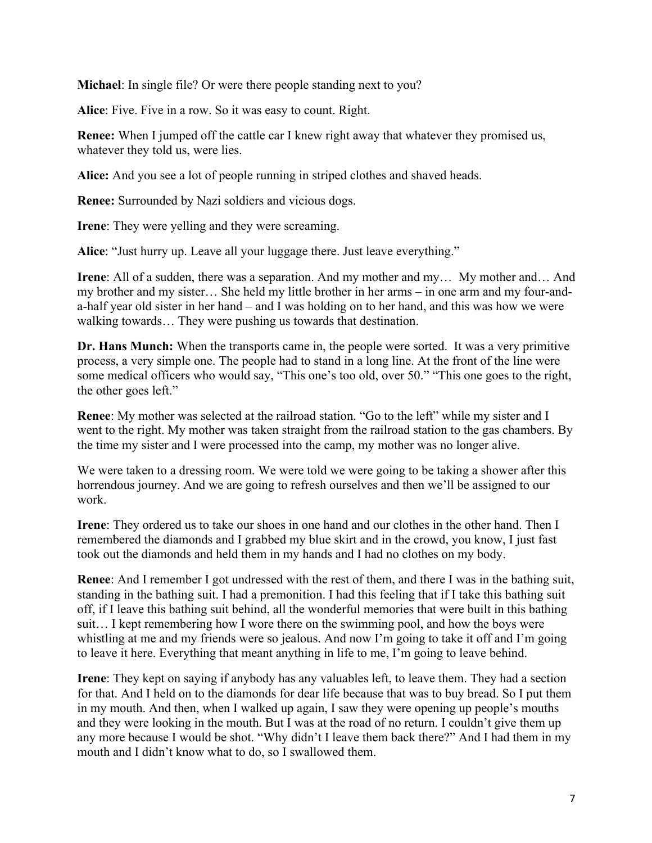**Michael**: In single file? Or were there people standing next to you?

**Alice**: Five. Five in a row. So it was easy to count. Right.

**Renee:** When I jumped off the cattle car I knew right away that whatever they promised us, whatever they told us, were lies.

**Alice:** And you see a lot of people running in striped clothes and shaved heads.

**Renee:** Surrounded by Nazi soldiers and vicious dogs.

**Irene**: They were yelling and they were screaming.

**Alice**: "Just hurry up. Leave all your luggage there. Just leave everything."

**Irene**: All of a sudden, there was a separation. And my mother and my… My mother and… And my brother and my sister… She held my little brother in her arms – in one arm and my four-anda-half year old sister in her hand – and I was holding on to her hand, and this was how we were walking towards… They were pushing us towards that destination.

**Dr. Hans Munch:** When the transports came in, the people were sorted. It was a very primitive process, a very simple one. The people had to stand in a long line. At the front of the line were some medical officers who would say, "This one's too old, over 50." "This one goes to the right, the other goes left."

**Renee**: My mother was selected at the railroad station. "Go to the left" while my sister and I went to the right. My mother was taken straight from the railroad station to the gas chambers. By the time my sister and I were processed into the camp, my mother was no longer alive.

We were taken to a dressing room. We were told we were going to be taking a shower after this horrendous journey. And we are going to refresh ourselves and then we'll be assigned to our work.

**Irene**: They ordered us to take our shoes in one hand and our clothes in the other hand. Then I remembered the diamonds and I grabbed my blue skirt and in the crowd, you know, I just fast took out the diamonds and held them in my hands and I had no clothes on my body.

**Renee**: And I remember I got undressed with the rest of them, and there I was in the bathing suit, standing in the bathing suit. I had a premonition. I had this feeling that if I take this bathing suit off, if I leave this bathing suit behind, all the wonderful memories that were built in this bathing suit… I kept remembering how I wore there on the swimming pool, and how the boys were whistling at me and my friends were so jealous. And now I'm going to take it off and I'm going to leave it here. Everything that meant anything in life to me, I'm going to leave behind.

**Irene**: They kept on saying if anybody has any valuables left, to leave them. They had a section for that. And I held on to the diamonds for dear life because that was to buy bread. So I put them in my mouth. And then, when I walked up again, I saw they were opening up people's mouths and they were looking in the mouth. But I was at the road of no return. I couldn't give them up any more because I would be shot. "Why didn't I leave them back there?" And I had them in my mouth and I didn't know what to do, so I swallowed them.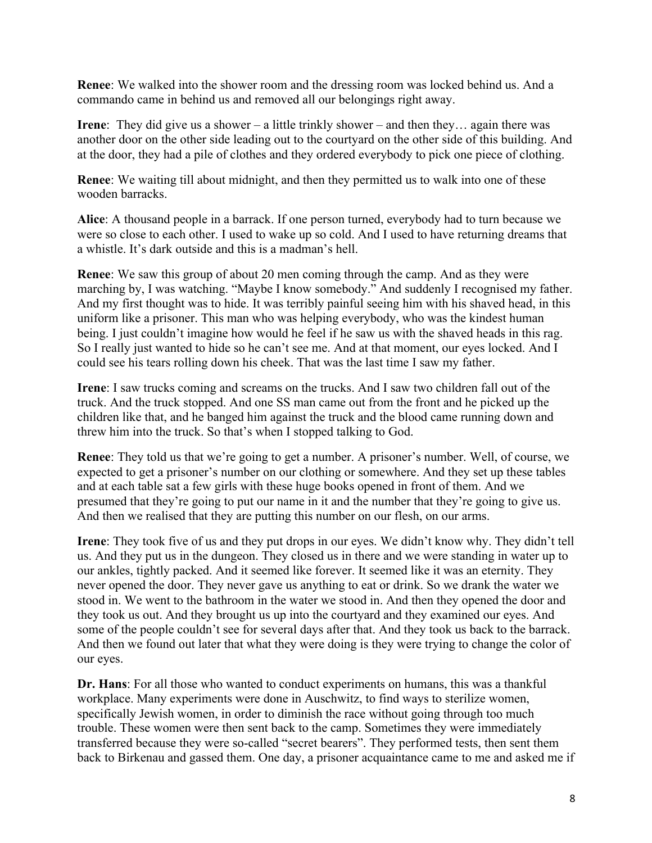**Renee**: We walked into the shower room and the dressing room was locked behind us. And a commando came in behind us and removed all our belongings right away.

**Irene:** They did give us a shower – a little trinkly shower – and then they... again there was another door on the other side leading out to the courtyard on the other side of this building. And at the door, they had a pile of clothes and they ordered everybody to pick one piece of clothing.

**Renee**: We waiting till about midnight, and then they permitted us to walk into one of these wooden barracks.

**Alice**: A thousand people in a barrack. If one person turned, everybody had to turn because we were so close to each other. I used to wake up so cold. And I used to have returning dreams that a whistle. It's dark outside and this is a madman's hell.

**Renee**: We saw this group of about 20 men coming through the camp. And as they were marching by, I was watching. "Maybe I know somebody." And suddenly I recognised my father. And my first thought was to hide. It was terribly painful seeing him with his shaved head, in this uniform like a prisoner. This man who was helping everybody, who was the kindest human being. I just couldn't imagine how would he feel if he saw us with the shaved heads in this rag. So I really just wanted to hide so he can't see me. And at that moment, our eyes locked. And I could see his tears rolling down his cheek. That was the last time I saw my father.

**Irene**: I saw trucks coming and screams on the trucks. And I saw two children fall out of the truck. And the truck stopped. And one SS man came out from the front and he picked up the children like that, and he banged him against the truck and the blood came running down and threw him into the truck. So that's when I stopped talking to God.

**Renee**: They told us that we're going to get a number. A prisoner's number. Well, of course, we expected to get a prisoner's number on our clothing or somewhere. And they set up these tables and at each table sat a few girls with these huge books opened in front of them. And we presumed that they're going to put our name in it and the number that they're going to give us. And then we realised that they are putting this number on our flesh, on our arms.

**Irene**: They took five of us and they put drops in our eyes. We didn't know why. They didn't tell us. And they put us in the dungeon. They closed us in there and we were standing in water up to our ankles, tightly packed. And it seemed like forever. It seemed like it was an eternity. They never opened the door. They never gave us anything to eat or drink. So we drank the water we stood in. We went to the bathroom in the water we stood in. And then they opened the door and they took us out. And they brought us up into the courtyard and they examined our eyes. And some of the people couldn't see for several days after that. And they took us back to the barrack. And then we found out later that what they were doing is they were trying to change the color of our eyes.

**Dr. Hans**: For all those who wanted to conduct experiments on humans, this was a thankful workplace. Many experiments were done in Auschwitz, to find ways to sterilize women, specifically Jewish women, in order to diminish the race without going through too much trouble. These women were then sent back to the camp. Sometimes they were immediately transferred because they were so-called "secret bearers". They performed tests, then sent them back to Birkenau and gassed them. One day, a prisoner acquaintance came to me and asked me if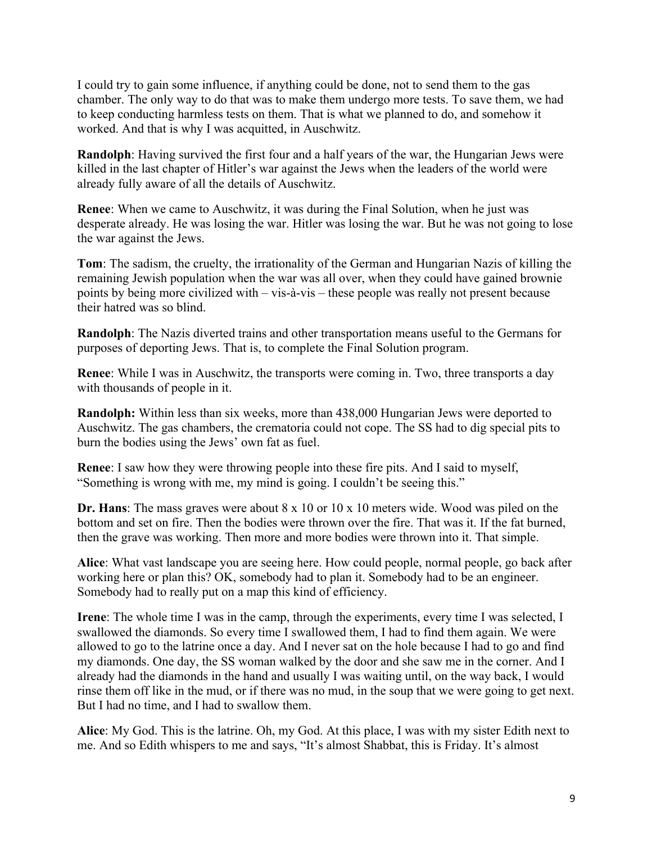I could try to gain some influence, if anything could be done, not to send them to the gas chamber. The only way to do that was to make them undergo more tests. To save them, we had to keep conducting harmless tests on them. That is what we planned to do, and somehow it worked. And that is why I was acquitted, in Auschwitz.

**Randolph**: Having survived the first four and a half years of the war, the Hungarian Jews were killed in the last chapter of Hitler's war against the Jews when the leaders of the world were already fully aware of all the details of Auschwitz.

**Renee**: When we came to Auschwitz, it was during the Final Solution, when he just was desperate already. He was losing the war. Hitler was losing the war. But he was not going to lose the war against the Jews.

**Tom**: The sadism, the cruelty, the irrationality of the German and Hungarian Nazis of killing the remaining Jewish population when the war was all over, when they could have gained brownie points by being more civilized with – vis-à-vis – these people was really not present because their hatred was so blind.

**Randolph**: The Nazis diverted trains and other transportation means useful to the Germans for purposes of deporting Jews. That is, to complete the Final Solution program.

**Renee**: While I was in Auschwitz, the transports were coming in. Two, three transports a day with thousands of people in it.

**Randolph:** Within less than six weeks, more than 438,000 Hungarian Jews were deported to Auschwitz. The gas chambers, the crematoria could not cope. The SS had to dig special pits to burn the bodies using the Jews' own fat as fuel.

**Renee**: I saw how they were throwing people into these fire pits. And I said to myself, "Something is wrong with me, my mind is going. I couldn't be seeing this."

**Dr. Hans**: The mass graves were about 8 x 10 or 10 x 10 meters wide. Wood was piled on the bottom and set on fire. Then the bodies were thrown over the fire. That was it. If the fat burned, then the grave was working. Then more and more bodies were thrown into it. That simple.

**Alice**: What vast landscape you are seeing here. How could people, normal people, go back after working here or plan this? OK, somebody had to plan it. Somebody had to be an engineer. Somebody had to really put on a map this kind of efficiency.

**Irene**: The whole time I was in the camp, through the experiments, every time I was selected, I swallowed the diamonds. So every time I swallowed them, I had to find them again. We were allowed to go to the latrine once a day. And I never sat on the hole because I had to go and find my diamonds. One day, the SS woman walked by the door and she saw me in the corner. And I already had the diamonds in the hand and usually I was waiting until, on the way back, I would rinse them off like in the mud, or if there was no mud, in the soup that we were going to get next. But I had no time, and I had to swallow them.

**Alice**: My God. This is the latrine. Oh, my God. At this place, I was with my sister Edith next to me. And so Edith whispers to me and says, "It's almost Shabbat, this is Friday. It's almost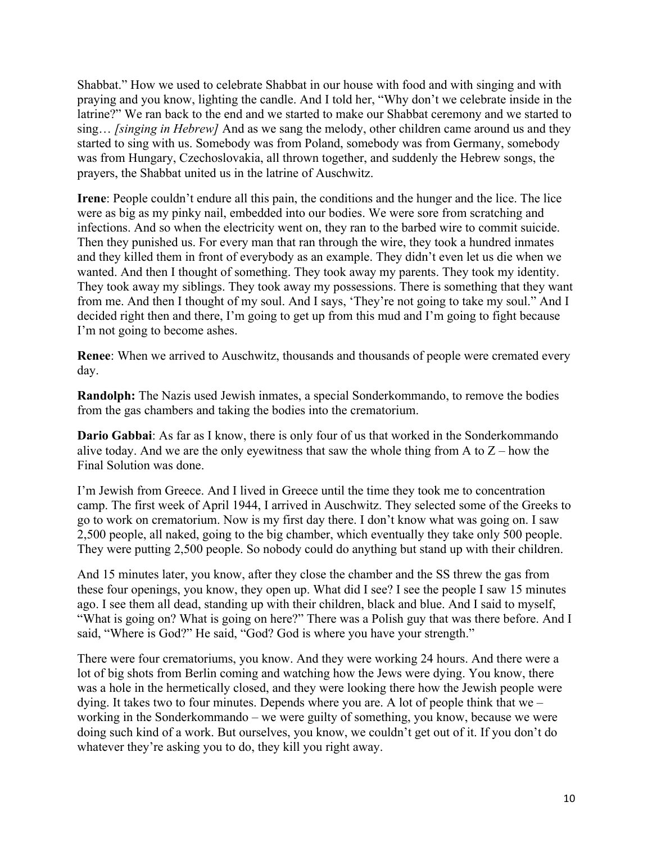Shabbat." How we used to celebrate Shabbat in our house with food and with singing and with praying and you know, lighting the candle. And I told her, "Why don't we celebrate inside in the latrine?" We ran back to the end and we started to make our Shabbat ceremony and we started to sing… *[singing in Hebrew]* And as we sang the melody, other children came around us and they started to sing with us. Somebody was from Poland, somebody was from Germany, somebody was from Hungary, Czechoslovakia, all thrown together, and suddenly the Hebrew songs, the prayers, the Shabbat united us in the latrine of Auschwitz.

**Irene**: People couldn't endure all this pain, the conditions and the hunger and the lice. The lice were as big as my pinky nail, embedded into our bodies. We were sore from scratching and infections. And so when the electricity went on, they ran to the barbed wire to commit suicide. Then they punished us. For every man that ran through the wire, they took a hundred inmates and they killed them in front of everybody as an example. They didn't even let us die when we wanted. And then I thought of something. They took away my parents. They took my identity. They took away my siblings. They took away my possessions. There is something that they want from me. And then I thought of my soul. And I says, 'They're not going to take my soul." And I decided right then and there, I'm going to get up from this mud and I'm going to fight because I'm not going to become ashes.

**Renee**: When we arrived to Auschwitz, thousands and thousands of people were cremated every day.

**Randolph:** The Nazis used Jewish inmates, a special Sonderkommando, to remove the bodies from the gas chambers and taking the bodies into the crematorium.

**Dario Gabbai**: As far as I know, there is only four of us that worked in the Sonderkommando alive today. And we are the only eyewitness that saw the whole thing from A to  $Z$  – how the Final Solution was done.

I'm Jewish from Greece. And I lived in Greece until the time they took me to concentration camp. The first week of April 1944, I arrived in Auschwitz. They selected some of the Greeks to go to work on crematorium. Now is my first day there. I don't know what was going on. I saw 2,500 people, all naked, going to the big chamber, which eventually they take only 500 people. They were putting 2,500 people. So nobody could do anything but stand up with their children.

And 15 minutes later, you know, after they close the chamber and the SS threw the gas from these four openings, you know, they open up. What did I see? I see the people I saw 15 minutes ago. I see them all dead, standing up with their children, black and blue. And I said to myself, "What is going on? What is going on here?" There was a Polish guy that was there before. And I said, "Where is God?" He said, "God? God is where you have your strength."

There were four crematoriums, you know. And they were working 24 hours. And there were a lot of big shots from Berlin coming and watching how the Jews were dying. You know, there was a hole in the hermetically closed, and they were looking there how the Jewish people were dying. It takes two to four minutes. Depends where you are. A lot of people think that we – working in the Sonderkommando – we were guilty of something, you know, because we were doing such kind of a work. But ourselves, you know, we couldn't get out of it. If you don't do whatever they're asking you to do, they kill you right away.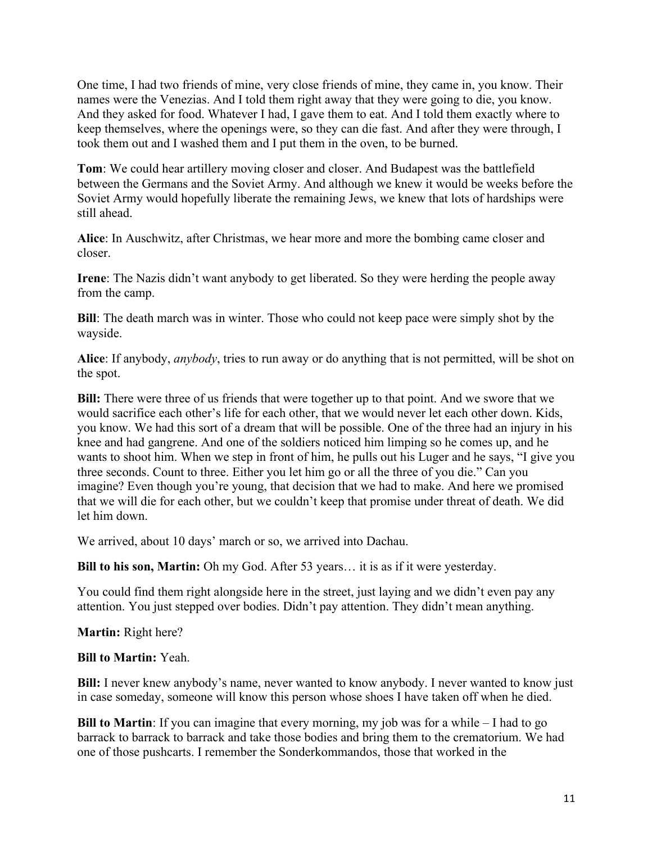One time, I had two friends of mine, very close friends of mine, they came in, you know. Their names were the Venezias. And I told them right away that they were going to die, you know. And they asked for food. Whatever I had, I gave them to eat. And I told them exactly where to keep themselves, where the openings were, so they can die fast. And after they were through, I took them out and I washed them and I put them in the oven, to be burned.

**Tom**: We could hear artillery moving closer and closer. And Budapest was the battlefield between the Germans and the Soviet Army. And although we knew it would be weeks before the Soviet Army would hopefully liberate the remaining Jews, we knew that lots of hardships were still ahead.

**Alice**: In Auschwitz, after Christmas, we hear more and more the bombing came closer and closer.

**Irene**: The Nazis didn't want anybody to get liberated. So they were herding the people away from the camp.

**Bill**: The death march was in winter. Those who could not keep pace were simply shot by the wayside.

**Alice**: If anybody, *anybody*, tries to run away or do anything that is not permitted, will be shot on the spot.

**Bill:** There were three of us friends that were together up to that point. And we swore that we would sacrifice each other's life for each other, that we would never let each other down. Kids, you know. We had this sort of a dream that will be possible. One of the three had an injury in his knee and had gangrene. And one of the soldiers noticed him limping so he comes up, and he wants to shoot him. When we step in front of him, he pulls out his Luger and he says, "I give you three seconds. Count to three. Either you let him go or all the three of you die." Can you imagine? Even though you're young, that decision that we had to make. And here we promised that we will die for each other, but we couldn't keep that promise under threat of death. We did let him down.

We arrived, about 10 days' march or so, we arrived into Dachau.

**Bill to his son, Martin:** Oh my God. After 53 years… it is as if it were yesterday.

You could find them right alongside here in the street, just laying and we didn't even pay any attention. You just stepped over bodies. Didn't pay attention. They didn't mean anything.

**Martin:** Right here?

### **Bill to Martin:** Yeah.

**Bill:** I never knew anybody's name, never wanted to know anybody. I never wanted to know just in case someday, someone will know this person whose shoes I have taken off when he died.

**Bill to Martin**: If you can imagine that every morning, my job was for a while – I had to go barrack to barrack to barrack and take those bodies and bring them to the crematorium. We had one of those pushcarts. I remember the Sonderkommandos, those that worked in the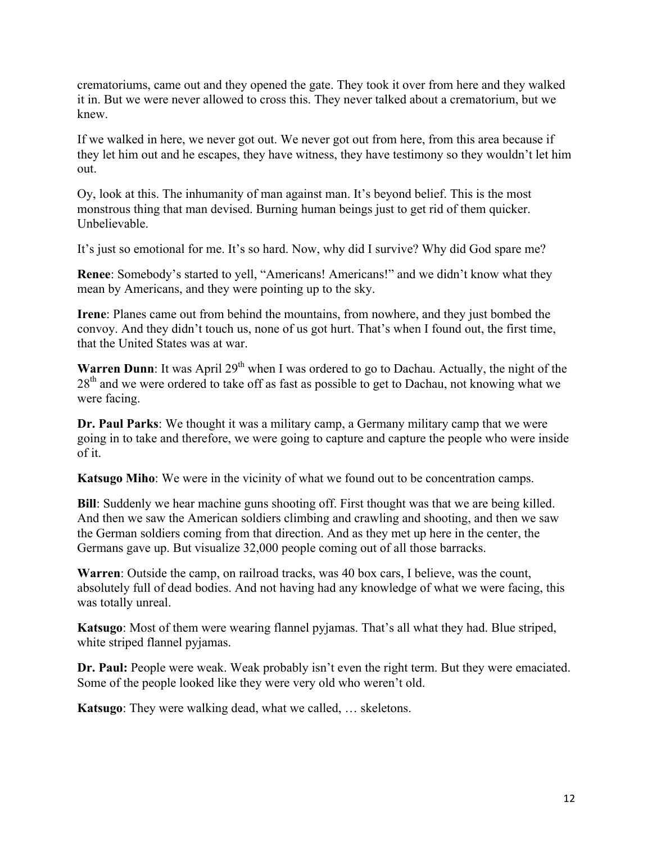crematoriums, came out and they opened the gate. They took it over from here and they walked it in. But we were never allowed to cross this. They never talked about a crematorium, but we knew.

If we walked in here, we never got out. We never got out from here, from this area because if they let him out and he escapes, they have witness, they have testimony so they wouldn't let him out.

Oy, look at this. The inhumanity of man against man. It's beyond belief. This is the most monstrous thing that man devised. Burning human beings just to get rid of them quicker. Unbelievable.

It's just so emotional for me. It's so hard. Now, why did I survive? Why did God spare me?

**Renee**: Somebody's started to yell, "Americans! Americans!" and we didn't know what they mean by Americans, and they were pointing up to the sky.

**Irene**: Planes came out from behind the mountains, from nowhere, and they just bombed the convoy. And they didn't touch us, none of us got hurt. That's when I found out, the first time, that the United States was at war.

**Warren Dunn**: It was April 29<sup>th</sup> when I was ordered to go to Dachau. Actually, the night of the  $28<sup>th</sup>$  and we were ordered to take off as fast as possible to get to Dachau, not knowing what we were facing.

**Dr. Paul Parks**: We thought it was a military camp, a Germany military camp that we were going in to take and therefore, we were going to capture and capture the people who were inside of it.

**Katsugo Miho**: We were in the vicinity of what we found out to be concentration camps.

**Bill**: Suddenly we hear machine guns shooting off. First thought was that we are being killed. And then we saw the American soldiers climbing and crawling and shooting, and then we saw the German soldiers coming from that direction. And as they met up here in the center, the Germans gave up. But visualize 32,000 people coming out of all those barracks.

**Warren**: Outside the camp, on railroad tracks, was 40 box cars, I believe, was the count, absolutely full of dead bodies. And not having had any knowledge of what we were facing, this was totally unreal.

**Katsugo**: Most of them were wearing flannel pyjamas. That's all what they had. Blue striped, white striped flannel pyjamas.

**Dr. Paul:** People were weak. Weak probably isn't even the right term. But they were emaciated. Some of the people looked like they were very old who weren't old.

**Katsugo**: They were walking dead, what we called, … skeletons.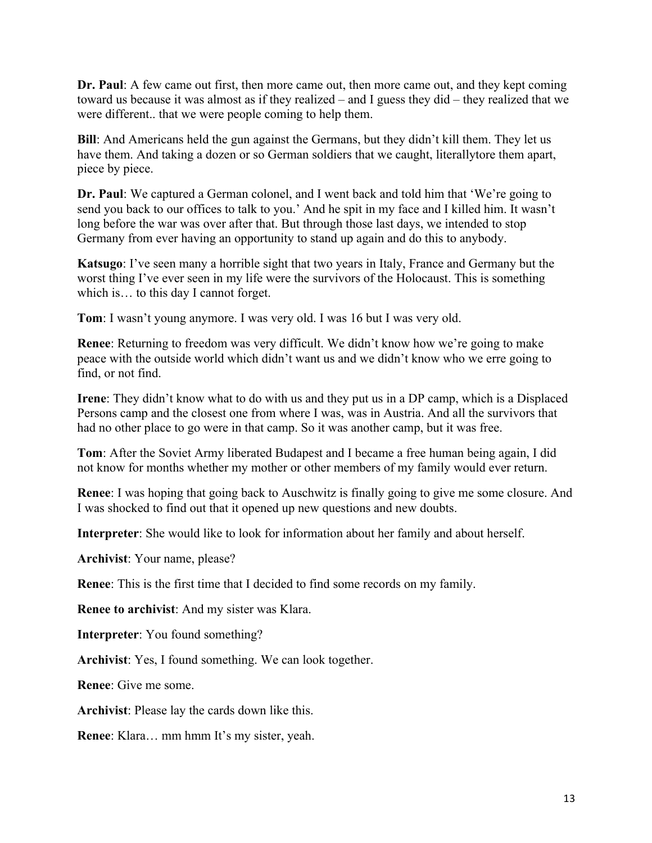**Dr. Paul**: A few came out first, then more came out, then more came out, and they kept coming toward us because it was almost as if they realized – and I guess they did – they realized that we were different.. that we were people coming to help them.

**Bill**: And Americans held the gun against the Germans, but they didn't kill them. They let us have them. And taking a dozen or so German soldiers that we caught, literallytore them apart, piece by piece.

**Dr. Paul**: We captured a German colonel, and I went back and told him that 'We're going to send you back to our offices to talk to you.' And he spit in my face and I killed him. It wasn't long before the war was over after that. But through those last days, we intended to stop Germany from ever having an opportunity to stand up again and do this to anybody.

**Katsugo**: I've seen many a horrible sight that two years in Italy, France and Germany but the worst thing I've ever seen in my life were the survivors of the Holocaust. This is something which is… to this day I cannot forget.

**Tom**: I wasn't young anymore. I was very old. I was 16 but I was very old.

**Renee**: Returning to freedom was very difficult. We didn't know how we're going to make peace with the outside world which didn't want us and we didn't know who we erre going to find, or not find.

**Irene**: They didn't know what to do with us and they put us in a DP camp, which is a Displaced Persons camp and the closest one from where I was, was in Austria. And all the survivors that had no other place to go were in that camp. So it was another camp, but it was free.

**Tom**: After the Soviet Army liberated Budapest and I became a free human being again, I did not know for months whether my mother or other members of my family would ever return.

**Renee**: I was hoping that going back to Auschwitz is finally going to give me some closure. And I was shocked to find out that it opened up new questions and new doubts.

**Interpreter**: She would like to look for information about her family and about herself.

**Archivist**: Your name, please?

**Renee**: This is the first time that I decided to find some records on my family.

**Renee to archivist**: And my sister was Klara.

**Interpreter**: You found something?

**Archivist**: Yes, I found something. We can look together.

**Renee**: Give me some.

**Archivist**: Please lay the cards down like this.

**Renee**: Klara… mm hmm It's my sister, yeah.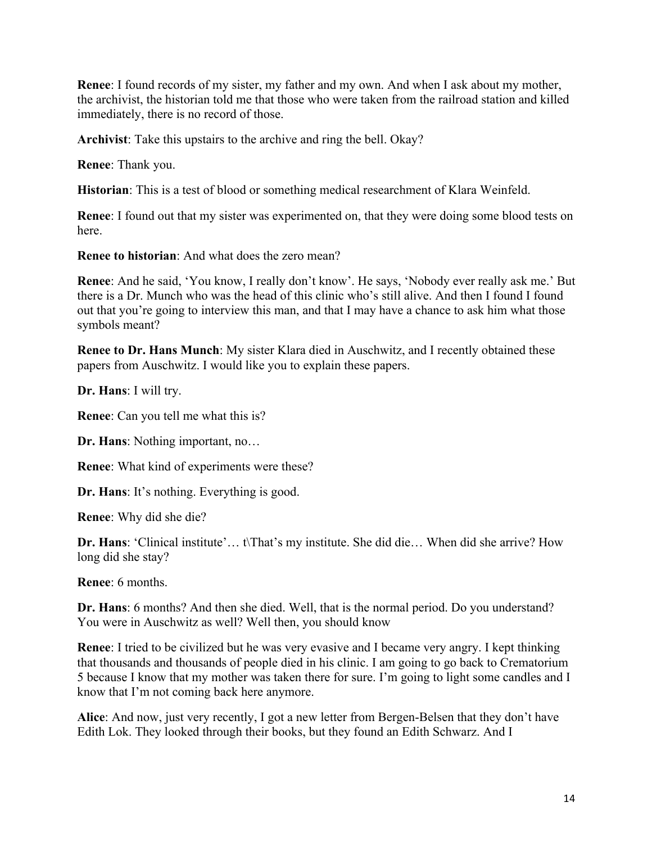**Renee**: I found records of my sister, my father and my own. And when I ask about my mother, the archivist, the historian told me that those who were taken from the railroad station and killed immediately, there is no record of those.

**Archivist**: Take this upstairs to the archive and ring the bell. Okay?

**Renee**: Thank you.

**Historian**: This is a test of blood or something medical researchment of Klara Weinfeld.

**Renee**: I found out that my sister was experimented on, that they were doing some blood tests on here.

**Renee to historian**: And what does the zero mean?

**Renee**: And he said, 'You know, I really don't know'. He says, 'Nobody ever really ask me.' But there is a Dr. Munch who was the head of this clinic who's still alive. And then I found I found out that you're going to interview this man, and that I may have a chance to ask him what those symbols meant?

**Renee to Dr. Hans Munch**: My sister Klara died in Auschwitz, and I recently obtained these papers from Auschwitz. I would like you to explain these papers.

**Dr. Hans**: I will try.

**Renee**: Can you tell me what this is?

**Dr. Hans**: Nothing important, no…

**Renee**: What kind of experiments were these?

**Dr. Hans**: It's nothing. Everything is good.

**Renee**: Why did she die?

**Dr. Hans**: 'Clinical institute'… t\That's my institute. She did die… When did she arrive? How long did she stay?

**Renee**: 6 months.

**Dr. Hans**: 6 months? And then she died. Well, that is the normal period. Do you understand? You were in Auschwitz as well? Well then, you should know

**Renee**: I tried to be civilized but he was very evasive and I became very angry. I kept thinking that thousands and thousands of people died in his clinic. I am going to go back to Crematorium 5 because I know that my mother was taken there for sure. I'm going to light some candles and I know that I'm not coming back here anymore.

**Alice**: And now, just very recently, I got a new letter from Bergen-Belsen that they don't have Edith Lok. They looked through their books, but they found an Edith Schwarz. And I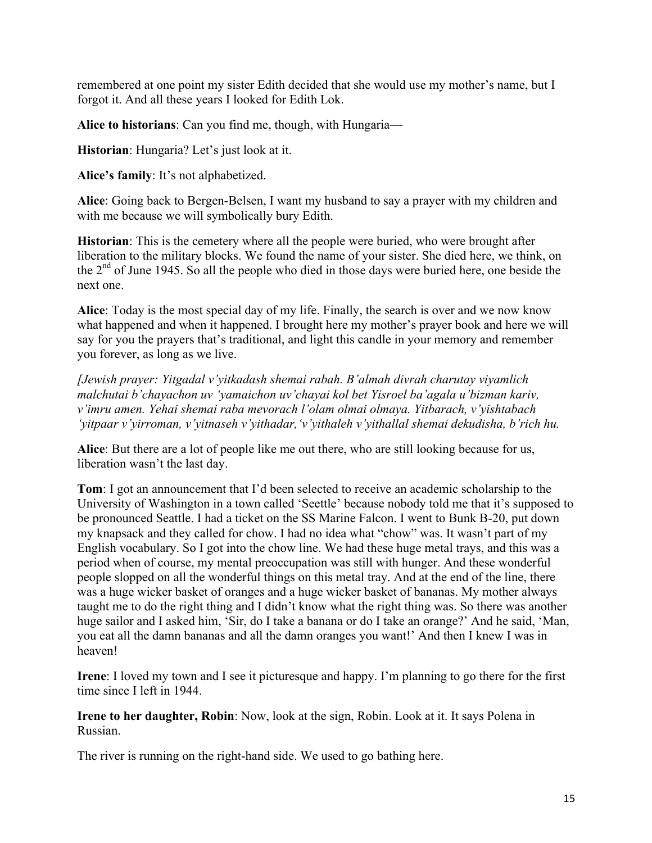remembered at one point my sister Edith decided that she would use my mother's name, but I forgot it. And all these years I looked for Edith Lok.

**Alice to historians**: Can you find me, though, with Hungaria—

**Historian**: Hungaria? Let's just look at it.

**Alice's family**: It's not alphabetized.

**Alice**: Going back to Bergen-Belsen, I want my husband to say a prayer with my children and with me because we will symbolically bury Edith.

**Historian**: This is the cemetery where all the people were buried, who were brought after liberation to the military blocks. We found the name of your sister. She died here, we think, on the 2<sup>nd</sup> of June 1945. So all the people who died in those days were buried here, one beside the next one.

**Alice**: Today is the most special day of my life. Finally, the search is over and we now know what happened and when it happened. I brought here my mother's prayer book and here we will say for you the prayers that's traditional, and light this candle in your memory and remember you forever, as long as we live.

*[Jewish prayer: Yitgadal v'yitkadash shemai rabah. B'almah divrah charutay viyamlich malchutai b'chayachon uv 'yamaichon uv'chayai kol bet Yisroel ba'agala u'bizman kariv, v'imru amen. Yehai shemai raba mevorach l'olam olmai olmaya. Yitbarach, v'yishtabach 'yitpaar v'yirroman, v'yitnaseh v'yithadar,'v'yithaleh v'yithallal shemai dekudisha, b'rich hu.*

**Alice**: But there are a lot of people like me out there, who are still looking because for us, liberation wasn't the last day.

**Tom**: I got an announcement that I'd been selected to receive an academic scholarship to the University of Washington in a town called 'Seettle' because nobody told me that it's supposed to be pronounced Seattle. I had a ticket on the SS Marine Falcon. I went to Bunk B-20, put down my knapsack and they called for chow. I had no idea what "chow" was. It wasn't part of my English vocabulary. So I got into the chow line. We had these huge metal trays, and this was a period when of course, my mental preoccupation was still with hunger. And these wonderful people slopped on all the wonderful things on this metal tray. And at the end of the line, there was a huge wicker basket of oranges and a huge wicker basket of bananas. My mother always taught me to do the right thing and I didn't know what the right thing was. So there was another huge sailor and I asked him, 'Sir, do I take a banana or do I take an orange?' And he said, 'Man, you eat all the damn bananas and all the damn oranges you want!' And then I knew I was in heaven!

**Irene**: I loved my town and I see it picturesque and happy. I'm planning to go there for the first time since I left in 1944.

**Irene to her daughter, Robin**: Now, look at the sign, Robin. Look at it. It says Polena in Russian.

The river is running on the right-hand side. We used to go bathing here.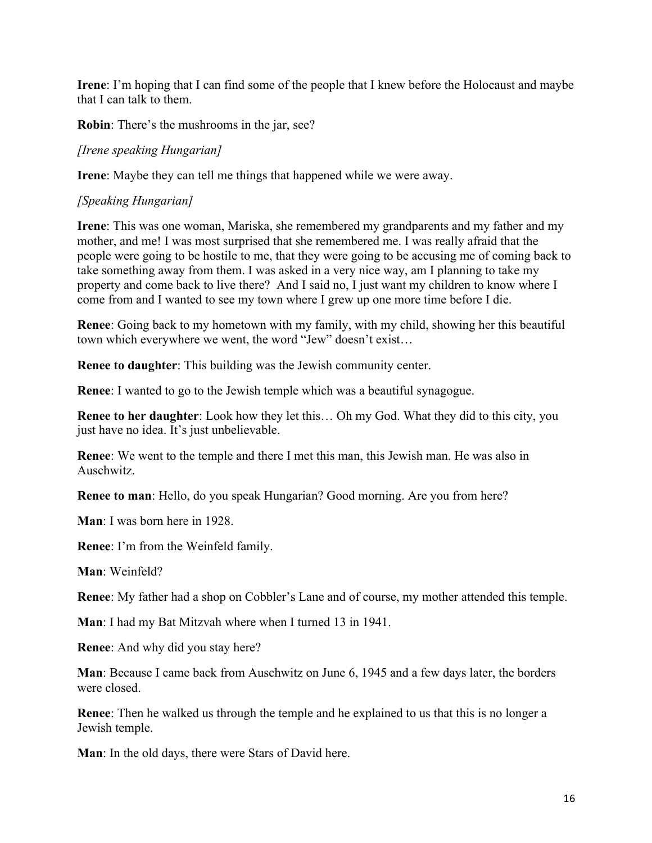**Irene**: I'm hoping that I can find some of the people that I knew before the Holocaust and maybe that I can talk to them.

**Robin**: There's the mushrooms in the jar, see?

# *[Irene speaking Hungarian]*

**Irene**: Maybe they can tell me things that happened while we were away.

# *[Speaking Hungarian]*

**Irene**: This was one woman, Mariska, she remembered my grandparents and my father and my mother, and me! I was most surprised that she remembered me. I was really afraid that the people were going to be hostile to me, that they were going to be accusing me of coming back to take something away from them. I was asked in a very nice way, am I planning to take my property and come back to live there? And I said no, I just want my children to know where I come from and I wanted to see my town where I grew up one more time before I die.

**Renee**: Going back to my hometown with my family, with my child, showing her this beautiful town which everywhere we went, the word "Jew" doesn't exist…

**Renee to daughter**: This building was the Jewish community center.

**Renee**: I wanted to go to the Jewish temple which was a beautiful synagogue.

**Renee to her daughter**: Look how they let this… Oh my God. What they did to this city, you just have no idea. It's just unbelievable.

**Renee**: We went to the temple and there I met this man, this Jewish man. He was also in Auschwitz.

**Renee to man**: Hello, do you speak Hungarian? Good morning. Are you from here?

**Man**: I was born here in 1928.

**Renee**: I'm from the Weinfeld family.

**Man**: Weinfeld?

**Renee**: My father had a shop on Cobbler's Lane and of course, my mother attended this temple.

**Man**: I had my Bat Mitzvah where when I turned 13 in 1941.

**Renee**: And why did you stay here?

**Man**: Because I came back from Auschwitz on June 6, 1945 and a few days later, the borders were closed.

**Renee**: Then he walked us through the temple and he explained to us that this is no longer a Jewish temple.

**Man**: In the old days, there were Stars of David here.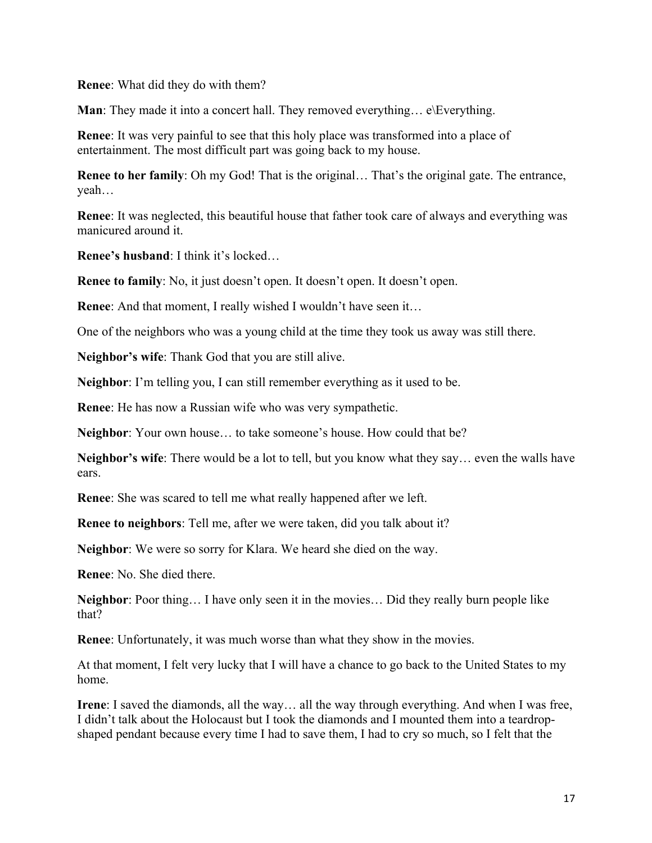**Renee**: What did they do with them?

**Man**: They made it into a concert hall. They removed everything... e\Everything.

**Renee**: It was very painful to see that this holy place was transformed into a place of entertainment. The most difficult part was going back to my house.

**Renee to her family**: Oh my God! That is the original... That's the original gate. The entrance, yeah…

**Renee**: It was neglected, this beautiful house that father took care of always and everything was manicured around it.

**Renee's husband**: I think it's locked…

**Renee to family**: No, it just doesn't open. It doesn't open. It doesn't open.

**Renee:** And that moment, I really wished I wouldn't have seen it...

One of the neighbors who was a young child at the time they took us away was still there.

**Neighbor's wife**: Thank God that you are still alive.

**Neighbor**: I'm telling you, I can still remember everything as it used to be.

**Renee**: He has now a Russian wife who was very sympathetic.

**Neighbor**: Your own house… to take someone's house. How could that be?

**Neighbor's wife**: There would be a lot to tell, but you know what they say… even the walls have ears.

**Renee**: She was scared to tell me what really happened after we left.

**Renee to neighbors**: Tell me, after we were taken, did you talk about it?

**Neighbor**: We were so sorry for Klara. We heard she died on the way.

**Renee**: No. She died there.

**Neighbor**: Poor thing… I have only seen it in the movies… Did they really burn people like that?

**Renee**: Unfortunately, it was much worse than what they show in the movies.

At that moment, I felt very lucky that I will have a chance to go back to the United States to my home.

**Irene**: I saved the diamonds, all the way… all the way through everything. And when I was free, I didn't talk about the Holocaust but I took the diamonds and I mounted them into a teardropshaped pendant because every time I had to save them, I had to cry so much, so I felt that the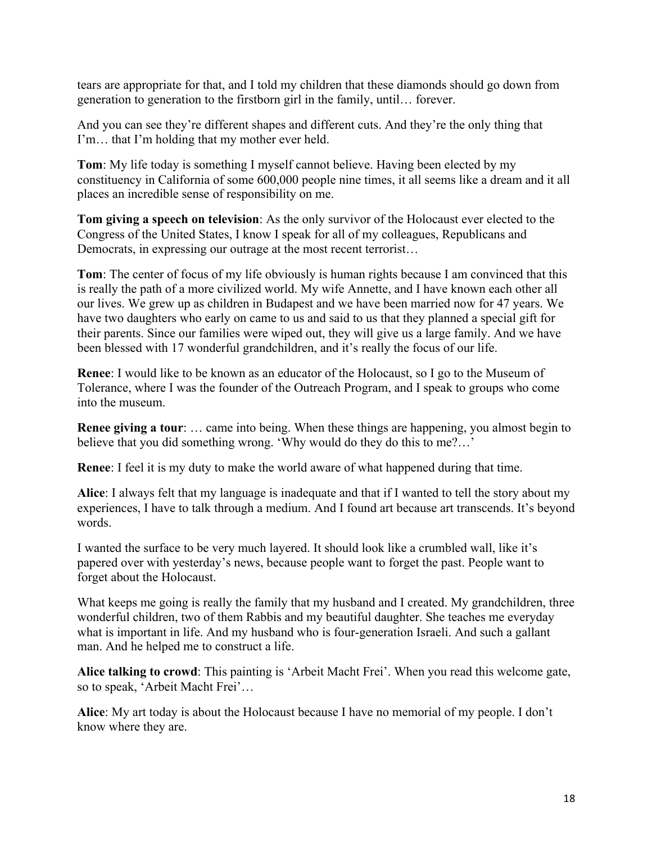tears are appropriate for that, and I told my children that these diamonds should go down from generation to generation to the firstborn girl in the family, until… forever.

And you can see they're different shapes and different cuts. And they're the only thing that I'm… that I'm holding that my mother ever held.

**Tom**: My life today is something I myself cannot believe. Having been elected by my constituency in California of some 600,000 people nine times, it all seems like a dream and it all places an incredible sense of responsibility on me.

**Tom giving a speech on television**: As the only survivor of the Holocaust ever elected to the Congress of the United States, I know I speak for all of my colleagues, Republicans and Democrats, in expressing our outrage at the most recent terrorist...

**Tom**: The center of focus of my life obviously is human rights because I am convinced that this is really the path of a more civilized world. My wife Annette, and I have known each other all our lives. We grew up as children in Budapest and we have been married now for 47 years. We have two daughters who early on came to us and said to us that they planned a special gift for their parents. Since our families were wiped out, they will give us a large family. And we have been blessed with 17 wonderful grandchildren, and it's really the focus of our life.

**Renee**: I would like to be known as an educator of the Holocaust, so I go to the Museum of Tolerance, where I was the founder of the Outreach Program, and I speak to groups who come into the museum.

**Renee giving a tour**: … came into being. When these things are happening, you almost begin to believe that you did something wrong. 'Why would do they do this to me?…'

**Renee**: I feel it is my duty to make the world aware of what happened during that time.

**Alice**: I always felt that my language is inadequate and that if I wanted to tell the story about my experiences, I have to talk through a medium. And I found art because art transcends. It's beyond words.

I wanted the surface to be very much layered. It should look like a crumbled wall, like it's papered over with yesterday's news, because people want to forget the past. People want to forget about the Holocaust.

What keeps me going is really the family that my husband and I created. My grandchildren, three wonderful children, two of them Rabbis and my beautiful daughter. She teaches me everyday what is important in life. And my husband who is four-generation Israeli. And such a gallant man. And he helped me to construct a life.

**Alice talking to crowd**: This painting is 'Arbeit Macht Frei'. When you read this welcome gate, so to speak, 'Arbeit Macht Frei'…

**Alice**: My art today is about the Holocaust because I have no memorial of my people. I don't know where they are.